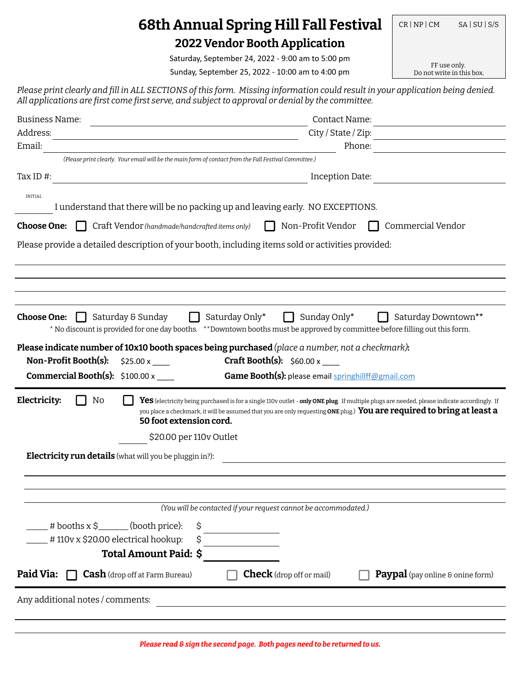## **68th Annual Spring Hill Fall Festival**  $|$  CR | NP | CM SA | SU | S/S **2022 Vendor Booth Application**

Saturday, September 24, 2022 - 9:00 am to 5:00 pm

Sunday, September 25, 2022 - 10:00 am to 4:00 pm

FF use only.<br>Do not write in this box.

*Please print clearly and ɾill in ALL SECTIONS of this form. Missing information could result in your application being denied. All applications are ɾirst come ɾirst serve, and subject to approval or denial by the committee.*

| <b>Business Name:</b>                                                                                                                                                                                                           | <b>Contact Name:</b>                                                                                                                                                                                                                                                                  |  |  |  |  |
|---------------------------------------------------------------------------------------------------------------------------------------------------------------------------------------------------------------------------------|---------------------------------------------------------------------------------------------------------------------------------------------------------------------------------------------------------------------------------------------------------------------------------------|--|--|--|--|
| Address:                                                                                                                                                                                                                        | City / State / Zip:                                                                                                                                                                                                                                                                   |  |  |  |  |
| Email:                                                                                                                                                                                                                          | Phone:                                                                                                                                                                                                                                                                                |  |  |  |  |
| (Please print clearly. Your email will be the main form of contact from the Fall Festival Committee.)                                                                                                                           |                                                                                                                                                                                                                                                                                       |  |  |  |  |
| Tax ID $#$ :                                                                                                                                                                                                                    | Inception Date:                                                                                                                                                                                                                                                                       |  |  |  |  |
| <b>INITIAL</b><br>I understand that there will be no packing up and leaving early. NO EXCEPTIONS.                                                                                                                               |                                                                                                                                                                                                                                                                                       |  |  |  |  |
|                                                                                                                                                                                                                                 |                                                                                                                                                                                                                                                                                       |  |  |  |  |
| Craft Vendor (handmade/handcrafted items only)<br><b>Choose One:</b>                                                                                                                                                            | Non-Profit Vendor<br>Commercial Vendor                                                                                                                                                                                                                                                |  |  |  |  |
| Please provide a detailed description of your booth, including items sold or activities provided:                                                                                                                               |                                                                                                                                                                                                                                                                                       |  |  |  |  |
|                                                                                                                                                                                                                                 |                                                                                                                                                                                                                                                                                       |  |  |  |  |
|                                                                                                                                                                                                                                 |                                                                                                                                                                                                                                                                                       |  |  |  |  |
| Saturday & Sunday<br><b>Choose One:</b><br>Please indicate number of 10x10 booth spaces being purchased (place a number, not a checkmark):<br>Non-Profit Booth(s):<br>\$25.00 x<br><b>Commercial Booth(s):</b> $$100.00 \times$ | Saturday Only*<br>Sunday Only*<br>Saturday Downtown**<br>* No discount is provided for one day booths. ** Downtown booths must be approved by committee before filling out this form.<br><b>Craft Booth(s):</b> $$60.00 \times$<br>Game Booth(s): please email springhillff@gmail.com |  |  |  |  |
| Electricity:<br>No<br>50 foot extension cord.                                                                                                                                                                                   | Yes (electricity being purchased is for a single 110v outlet - only ONE plug. If multiple plugs are needed, please indicate accordingly. If<br>you place a checkmark, it will be assumed that you are only requesting ONE plug.) You are required to bring at least a                 |  |  |  |  |
| \$20.00 per 110v Outlet                                                                                                                                                                                                         |                                                                                                                                                                                                                                                                                       |  |  |  |  |
| <b>Electricity run details</b> (what will you be pluggin in?):                                                                                                                                                                  |                                                                                                                                                                                                                                                                                       |  |  |  |  |
|                                                                                                                                                                                                                                 |                                                                                                                                                                                                                                                                                       |  |  |  |  |
|                                                                                                                                                                                                                                 |                                                                                                                                                                                                                                                                                       |  |  |  |  |
|                                                                                                                                                                                                                                 |                                                                                                                                                                                                                                                                                       |  |  |  |  |
|                                                                                                                                                                                                                                 | (You will be contacted if your request cannot be accommodated.)                                                                                                                                                                                                                       |  |  |  |  |
| $#$ booths x $\frac{1}{2}$ (booth price):<br>\$                                                                                                                                                                                 |                                                                                                                                                                                                                                                                                       |  |  |  |  |
| #110v x \$20.00 electrical hookup:<br>\$                                                                                                                                                                                        |                                                                                                                                                                                                                                                                                       |  |  |  |  |
| Total Amount Paid: \$                                                                                                                                                                                                           |                                                                                                                                                                                                                                                                                       |  |  |  |  |
| Paid Via:<br><b>Cash</b> (drop off at Farm Bureau)                                                                                                                                                                              | <b>Check</b> (drop off or mail)<br><b>Paypal</b> (pay online & onine form)                                                                                                                                                                                                            |  |  |  |  |
| Any additional notes / comments:                                                                                                                                                                                                |                                                                                                                                                                                                                                                                                       |  |  |  |  |
|                                                                                                                                                                                                                                 |                                                                                                                                                                                                                                                                                       |  |  |  |  |
|                                                                                                                                                                                                                                 |                                                                                                                                                                                                                                                                                       |  |  |  |  |